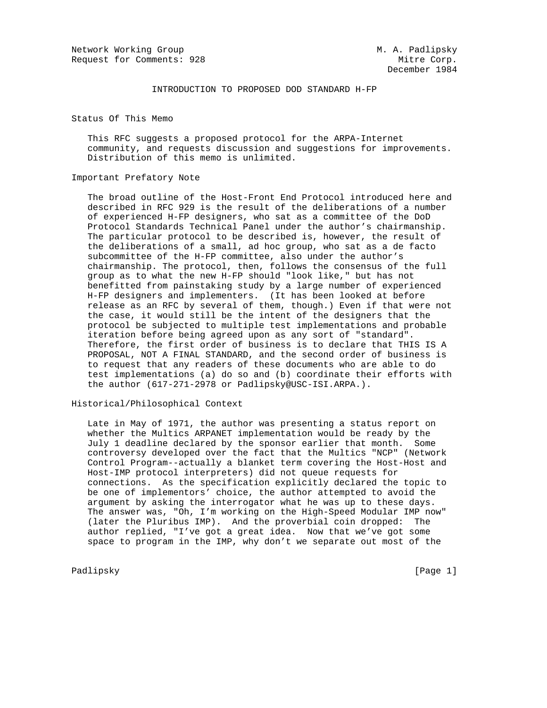Network Working Group Metwork Monthly Metwork Working Group Request for Comments: 928 Mitre Corp.

## INTRODUCTION TO PROPOSED DOD STANDARD H-FP

Status Of This Memo

 This RFC suggests a proposed protocol for the ARPA-Internet community, and requests discussion and suggestions for improvements. Distribution of this memo is unlimited.

# Important Prefatory Note

 The broad outline of the Host-Front End Protocol introduced here and described in RFC 929 is the result of the deliberations of a number of experienced H-FP designers, who sat as a committee of the DoD Protocol Standards Technical Panel under the author's chairmanship. The particular protocol to be described is, however, the result of the deliberations of a small, ad hoc group, who sat as a de facto subcommittee of the H-FP committee, also under the author's chairmanship. The protocol, then, follows the consensus of the full group as to what the new H-FP should "look like," but has not benefitted from painstaking study by a large number of experienced H-FP designers and implementers. (It has been looked at before release as an RFC by several of them, though.) Even if that were not the case, it would still be the intent of the designers that the protocol be subjected to multiple test implementations and probable iteration before being agreed upon as any sort of "standard". Therefore, the first order of business is to declare that THIS IS A PROPOSAL, NOT A FINAL STANDARD, and the second order of business is to request that any readers of these documents who are able to do test implementations (a) do so and (b) coordinate their efforts with the author (617-271-2978 or Padlipsky@USC-ISI.ARPA.).

## Historical/Philosophical Context

 Late in May of 1971, the author was presenting a status report on whether the Multics ARPANET implementation would be ready by the July 1 deadline declared by the sponsor earlier that month. Some controversy developed over the fact that the Multics "NCP" (Network Control Program--actually a blanket term covering the Host-Host and Host-IMP protocol interpreters) did not queue requests for connections. As the specification explicitly declared the topic to be one of implementors' choice, the author attempted to avoid the argument by asking the interrogator what he was up to these days. The answer was, "Oh, I'm working on the High-Speed Modular IMP now" (later the Pluribus IMP). And the proverbial coin dropped: The author replied, "I've got a great idea. Now that we've got some space to program in the IMP, why don't we separate out most of the

Padlipsky [Page 1]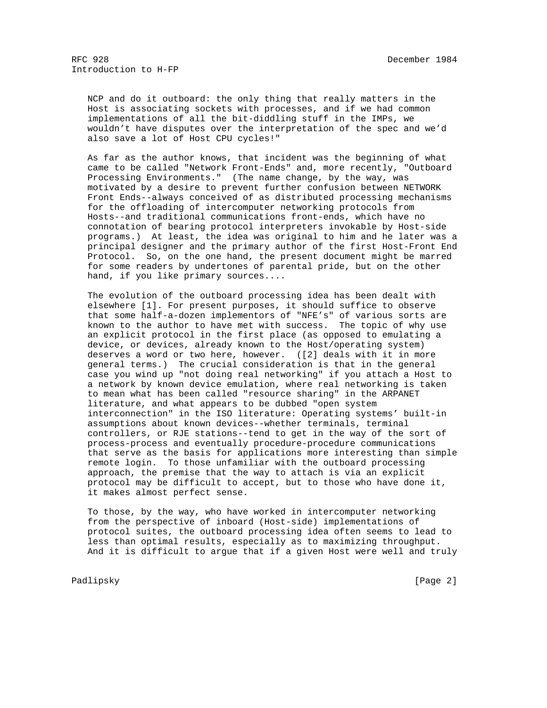NCP and do it outboard: the only thing that really matters in the Host is associating sockets with processes, and if we had common implementations of all the bit-diddling stuff in the IMPs, we wouldn't have disputes over the interpretation of the spec and we'd also save a lot of Host CPU cycles!"

 As far as the author knows, that incident was the beginning of what came to be called "Network Front-Ends" and, more recently, "Outboard Processing Environments." (The name change, by the way, was motivated by a desire to prevent further confusion between NETWORK Front Ends--always conceived of as distributed processing mechanisms for the offloading of intercomputer networking protocols from Hosts--and traditional communications front-ends, which have no connotation of bearing protocol interpreters invokable by Host-side programs.) At least, the idea was original to him and he later was a principal designer and the primary author of the first Host-Front End Protocol. So, on the one hand, the present document might be marred for some readers by undertones of parental pride, but on the other hand, if you like primary sources....

 The evolution of the outboard processing idea has been dealt with elsewhere [1]. For present purposes, it should suffice to observe that some half-a-dozen implementors of "NFE's" of various sorts are known to the author to have met with success. The topic of why use an explicit protocol in the first place (as opposed to emulating a device, or devices, already known to the Host/operating system) deserves a word or two here, however. ([2] deals with it in more general terms.) The crucial consideration is that in the general case you wind up "not doing real networking" if you attach a Host to a network by known device emulation, where real networking is taken to mean what has been called "resource sharing" in the ARPANET literature, and what appears to be dubbed "open system interconnection" in the ISO literature: Operating systems' built-in assumptions about known devices--whether terminals, terminal controllers, or RJE stations--tend to get in the way of the sort of process-process and eventually procedure-procedure communications that serve as the basis for applications more interesting than simple remote login. To those unfamiliar with the outboard processing approach, the premise that the way to attach is via an explicit protocol may be difficult to accept, but to those who have done it, it makes almost perfect sense.

 To those, by the way, who have worked in intercomputer networking from the perspective of inboard (Host-side) implementations of protocol suites, the outboard processing idea often seems to lead to less than optimal results, especially as to maximizing throughput. And it is difficult to argue that if a given Host were well and truly

Padlipsky [Page 2]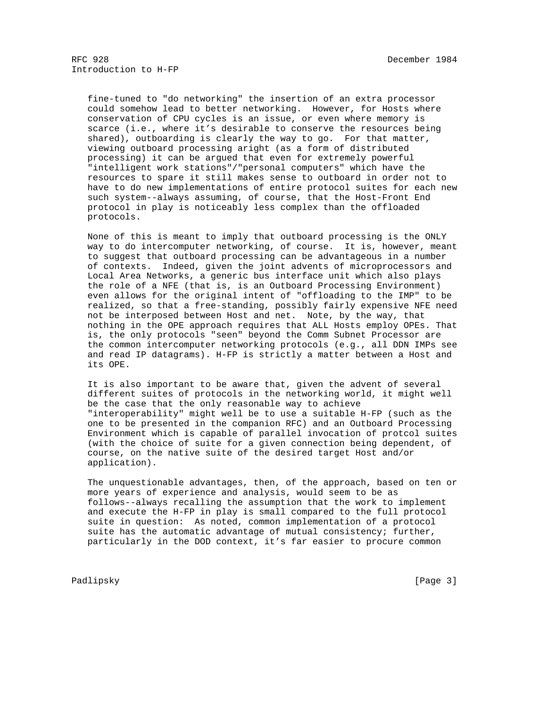fine-tuned to "do networking" the insertion of an extra processor could somehow lead to better networking. However, for Hosts where conservation of CPU cycles is an issue, or even where memory is scarce (i.e., where it's desirable to conserve the resources being shared), outboarding is clearly the way to go. For that matter, viewing outboard processing aright (as a form of distributed processing) it can be argued that even for extremely powerful "intelligent work stations"/"personal computers" which have the resources to spare it still makes sense to outboard in order not to have to do new implementations of entire protocol suites for each new such system--always assuming, of course, that the Host-Front End protocol in play is noticeably less complex than the offloaded protocols.

 None of this is meant to imply that outboard processing is the ONLY way to do intercomputer networking, of course. It is, however, meant to suggest that outboard processing can be advantageous in a number of contexts. Indeed, given the joint advents of microprocessors and Local Area Networks, a generic bus interface unit which also plays the role of a NFE (that is, is an Outboard Processing Environment) even allows for the original intent of "offloading to the IMP" to be realized, so that a free-standing, possibly fairly expensive NFE need not be interposed between Host and net. Note, by the way, that nothing in the OPE approach requires that ALL Hosts employ OPEs. That is, the only protocols "seen" beyond the Comm Subnet Processor are the common intercomputer networking protocols (e.g., all DDN IMPs see and read IP datagrams). H-FP is strictly a matter between a Host and its OPE.

 It is also important to be aware that, given the advent of several different suites of protocols in the networking world, it might well be the case that the only reasonable way to achieve "interoperability" might well be to use a suitable H-FP (such as the one to be presented in the companion RFC) and an Outboard Processing Environment which is capable of parallel invocation of protcol suites (with the choice of suite for a given connection being dependent, of course, on the native suite of the desired target Host and/or application).

 The unquestionable advantages, then, of the approach, based on ten or more years of experience and analysis, would seem to be as follows--always recalling the assumption that the work to implement and execute the H-FP in play is small compared to the full protocol suite in question: As noted, common implementation of a protocol suite has the automatic advantage of mutual consistency; further, particularly in the DOD context, it's far easier to procure common

Padlipsky [Page 3]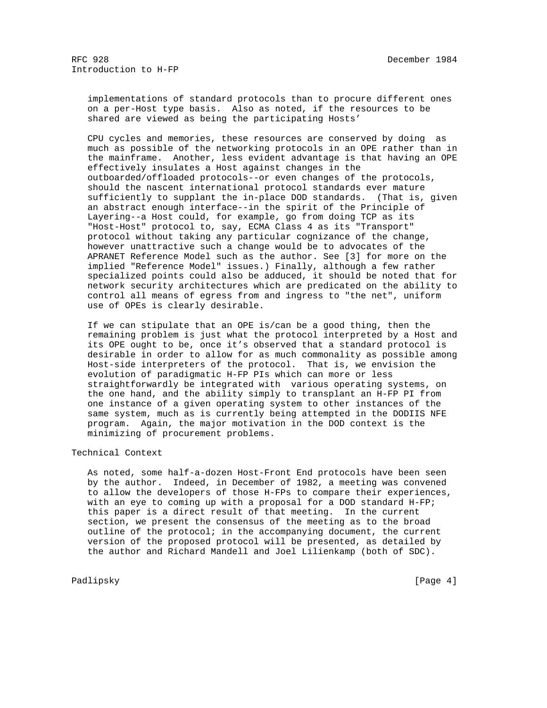implementations of standard protocols than to procure different ones on a per-Host type basis. Also as noted, if the resources to be shared are viewed as being the participating Hosts'

 CPU cycles and memories, these resources are conserved by doing as much as possible of the networking protocols in an OPE rather than in the mainframe. Another, less evident advantage is that having an OPE effectively insulates a Host against changes in the outboarded/offloaded protocols--or even changes of the protocols, should the nascent international protocol standards ever mature sufficiently to supplant the in-place DOD standards. (That is, given an abstract enough interface--in the spirit of the Principle of Layering--a Host could, for example, go from doing TCP as its "Host-Host" protocol to, say, ECMA Class 4 as its "Transport" protocol without taking any particular cognizance of the change, however unattractive such a change would be to advocates of the APRANET Reference Model such as the author. See [3] for more on the implied "Reference Model" issues.) Finally, although a few rather specialized points could also be adduced, it should be noted that for network security architectures which are predicated on the ability to control all means of egress from and ingress to "the net", uniform use of OPEs is clearly desirable.

 If we can stipulate that an OPE is/can be a good thing, then the remaining problem is just what the protocol interpreted by a Host and its OPE ought to be, once it's observed that a standard protocol is desirable in order to allow for as much commonality as possible among Host-side interpreters of the protocol. That is, we envision the evolution of paradigmatic H-FP PIs which can more or less straightforwardly be integrated with various operating systems, on the one hand, and the ability simply to transplant an H-FP PI from one instance of a given operating system to other instances of the same system, much as is currently being attempted in the DODIIS NFE program. Again, the major motivation in the DOD context is the minimizing of procurement problems.

# Technical Context

 As noted, some half-a-dozen Host-Front End protocols have been seen by the author. Indeed, in December of 1982, a meeting was convened to allow the developers of those H-FPs to compare their experiences, with an eye to coming up with a proposal for a DOD standard H-FP; this paper is a direct result of that meeting. In the current section, we present the consensus of the meeting as to the broad outline of the protocol; in the accompanying document, the current version of the proposed protocol will be presented, as detailed by the author and Richard Mandell and Joel Lilienkamp (both of SDC).

Padlipsky [Page 4]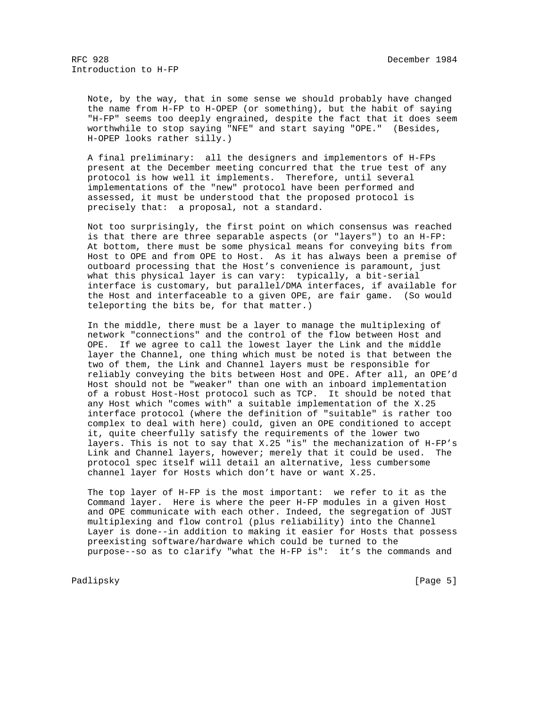Note, by the way, that in some sense we should probably have changed the name from H-FP to H-OPEP (or something), but the habit of saying "H-FP" seems too deeply engrained, despite the fact that it does seem worthwhile to stop saying "NFE" and start saying "OPE." (Besides, H-OPEP looks rather silly.)

 A final preliminary: all the designers and implementors of H-FPs present at the December meeting concurred that the true test of any protocol is how well it implements. Therefore, until several implementations of the "new" protocol have been performed and assessed, it must be understood that the proposed protocol is precisely that: a proposal, not a standard.

 Not too surprisingly, the first point on which consensus was reached is that there are three separable aspects (or "layers") to an H-FP: At bottom, there must be some physical means for conveying bits from Host to OPE and from OPE to Host. As it has always been a premise of outboard processing that the Host's convenience is paramount, just what this physical layer is can vary: typically, a bit-serial interface is customary, but parallel/DMA interfaces, if available for the Host and interfaceable to a given OPE, are fair game. (So would teleporting the bits be, for that matter.)

 In the middle, there must be a layer to manage the multiplexing of network "connections" and the control of the flow between Host and OPE. If we agree to call the lowest layer the Link and the middle layer the Channel, one thing which must be noted is that between the two of them, the Link and Channel layers must be responsible for reliably conveying the bits between Host and OPE. After all, an OPE'd Host should not be "weaker" than one with an inboard implementation of a robust Host-Host protocol such as TCP. It should be noted that any Host which "comes with" a suitable implementation of the X.25 interface protocol (where the definition of "suitable" is rather too complex to deal with here) could, given an OPE conditioned to accept it, quite cheerfully satisfy the requirements of the lower two layers. This is not to say that X.25 "is" the mechanization of H-FP's Link and Channel layers, however; merely that it could be used. The protocol spec itself will detail an alternative, less cumbersome channel layer for Hosts which don't have or want X.25.

 The top layer of H-FP is the most important: we refer to it as the Command layer. Here is where the peer H-FP modules in a given Host and OPE communicate with each other. Indeed, the segregation of JUST multiplexing and flow control (plus reliability) into the Channel Layer is done--in addition to making it easier for Hosts that possess preexisting software/hardware which could be turned to the purpose--so as to clarify "what the H-FP is": it's the commands and

Padlipsky [Page 5]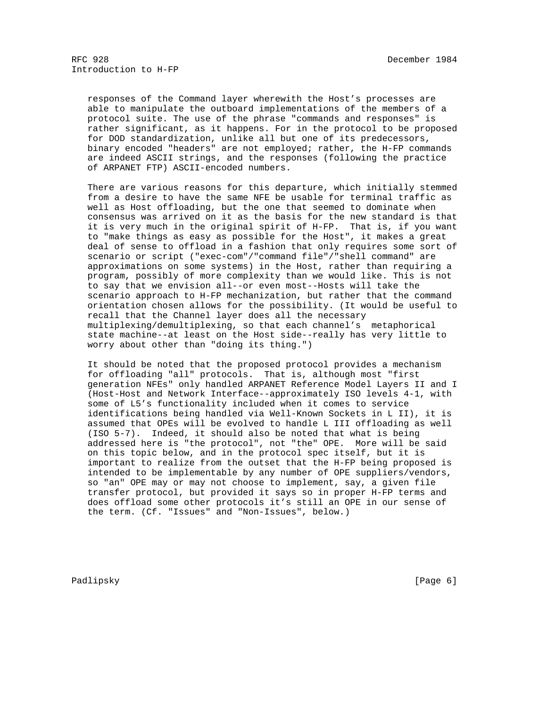responses of the Command layer wherewith the Host's processes are able to manipulate the outboard implementations of the members of a protocol suite. The use of the phrase "commands and responses" is rather significant, as it happens. For in the protocol to be proposed for DOD standardization, unlike all but one of its predecessors, binary encoded "headers" are not employed; rather, the H-FP commands are indeed ASCII strings, and the responses (following the practice of ARPANET FTP) ASCII-encoded numbers.

 There are various reasons for this departure, which initially stemmed from a desire to have the same NFE be usable for terminal traffic as well as Host offloading, but the one that seemed to dominate when consensus was arrived on it as the basis for the new standard is that it is very much in the original spirit of H-FP. That is, if you want to "make things as easy as possible for the Host", it makes a great deal of sense to offload in a fashion that only requires some sort of scenario or script ("exec-com"/"command file"/"shell command" are approximations on some systems) in the Host, rather than requiring a program, possibly of more complexity than we would like. This is not to say that we envision all--or even most--Hosts will take the scenario approach to H-FP mechanization, but rather that the command orientation chosen allows for the possibility. (It would be useful to recall that the Channel layer does all the necessary multiplexing/demultiplexing, so that each channel's metaphorical state machine--at least on the Host side--really has very little to worry about other than "doing its thing.")

 It should be noted that the proposed protocol provides a mechanism for offloading "all" protocols. That is, although most "first generation NFEs" only handled ARPANET Reference Model Layers II and I (Host-Host and Network Interface--approximately ISO levels 4-1, with some of L5's functionality included when it comes to service identifications being handled via Well-Known Sockets in L II), it is assumed that OPEs will be evolved to handle L III offloading as well (ISO 5-7). Indeed, it should also be noted that what is being addressed here is "the protocol", not "the" OPE. More will be said on this topic below, and in the protocol spec itself, but it is important to realize from the outset that the H-FP being proposed is intended to be implementable by any number of OPE suppliers/vendors, so "an" OPE may or may not choose to implement, say, a given file transfer protocol, but provided it says so in proper H-FP terms and does offload some other protocols it's still an OPE in our sense of the term. (Cf. "Issues" and "Non-Issues", below.)

Padlipsky [Page 6]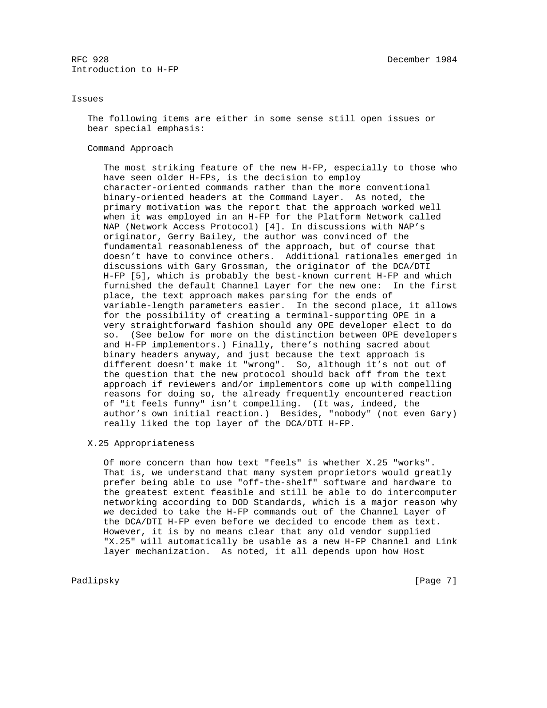### Issues

 The following items are either in some sense still open issues or bear special emphasis:

#### Command Approach

 The most striking feature of the new H-FP, especially to those who have seen older H-FPs, is the decision to employ character-oriented commands rather than the more conventional binary-oriented headers at the Command Layer. As noted, the primary motivation was the report that the approach worked well when it was employed in an H-FP for the Platform Network called NAP (Network Access Protocol) [4]. In discussions with NAP's originator, Gerry Bailey, the author was convinced of the fundamental reasonableness of the approach, but of course that doesn't have to convince others. Additional rationales emerged in discussions with Gary Grossman, the originator of the DCA/DTI H-FP [5], which is probably the best-known current H-FP and which furnished the default Channel Layer for the new one: In the first place, the text approach makes parsing for the ends of variable-length parameters easier. In the second place, it allows for the possibility of creating a terminal-supporting OPE in a very straightforward fashion should any OPE developer elect to do so. (See below for more on the distinction between OPE developers and H-FP implementors.) Finally, there's nothing sacred about binary headers anyway, and just because the text approach is different doesn't make it "wrong". So, although it's not out of the question that the new protocol should back off from the text approach if reviewers and/or implementors come up with compelling reasons for doing so, the already frequently encountered reaction of "it feels funny" isn't compelling. (It was, indeed, the author's own initial reaction.) Besides, "nobody" (not even Gary) really liked the top layer of the DCA/DTI H-FP.

#### X.25 Appropriateness

 Of more concern than how text "feels" is whether X.25 "works". That is, we understand that many system proprietors would greatly prefer being able to use "off-the-shelf" software and hardware to the greatest extent feasible and still be able to do intercomputer networking according to DOD Standards, which is a major reason why we decided to take the H-FP commands out of the Channel Layer of the DCA/DTI H-FP even before we decided to encode them as text. However, it is by no means clear that any old vendor supplied "X.25" will automatically be usable as a new H-FP Channel and Link layer mechanization. As noted, it all depends upon how Host

Padlipsky [Page 7]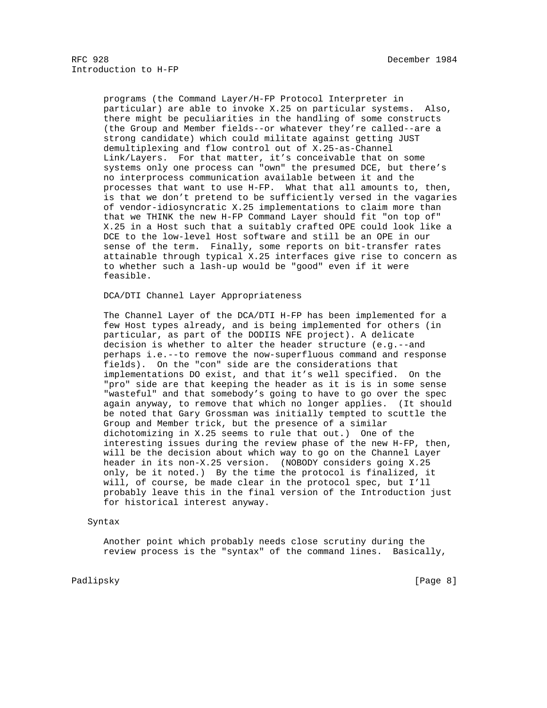programs (the Command Layer/H-FP Protocol Interpreter in particular) are able to invoke X.25 on particular systems. Also, there might be peculiarities in the handling of some constructs (the Group and Member fields--or whatever they're called--are a strong candidate) which could militate against getting JUST demultiplexing and flow control out of X.25-as-Channel Link/Layers. For that matter, it's conceivable that on some systems only one process can "own" the presumed DCE, but there's no interprocess communication available between it and the processes that want to use H-FP. What that all amounts to, then, is that we don't pretend to be sufficiently versed in the vagaries of vendor-idiosyncratic X.25 implementations to claim more than that we THINK the new H-FP Command Layer should fit "on top of" X.25 in a Host such that a suitably crafted OPE could look like a DCE to the low-level Host software and still be an OPE in our sense of the term. Finally, some reports on bit-transfer rates attainable through typical X.25 interfaces give rise to concern as to whether such a lash-up would be "good" even if it were feasible.

DCA/DTI Channel Layer Appropriateness

 The Channel Layer of the DCA/DTI H-FP has been implemented for a few Host types already, and is being implemented for others (in particular, as part of the DODIIS NFE project). A delicate decision is whether to alter the header structure (e.g.--and perhaps i.e.--to remove the now-superfluous command and response fields). On the "con" side are the considerations that implementations DO exist, and that it's well specified. On the "pro" side are that keeping the header as it is is in some sense "wasteful" and that somebody's going to have to go over the spec again anyway, to remove that which no longer applies. (It should be noted that Gary Grossman was initially tempted to scuttle the Group and Member trick, but the presence of a similar dichotomizing in X.25 seems to rule that out.) One of the interesting issues during the review phase of the new H-FP, then, will be the decision about which way to go on the Channel Layer header in its non-X.25 version. (NOBODY considers going X.25 only, be it noted.) By the time the protocol is finalized, it will, of course, be made clear in the protocol spec, but I'll probably leave this in the final version of the Introduction just for historical interest anyway.

## Syntax

 Another point which probably needs close scrutiny during the review process is the "syntax" of the command lines. Basically,

Padlipsky [Page 8]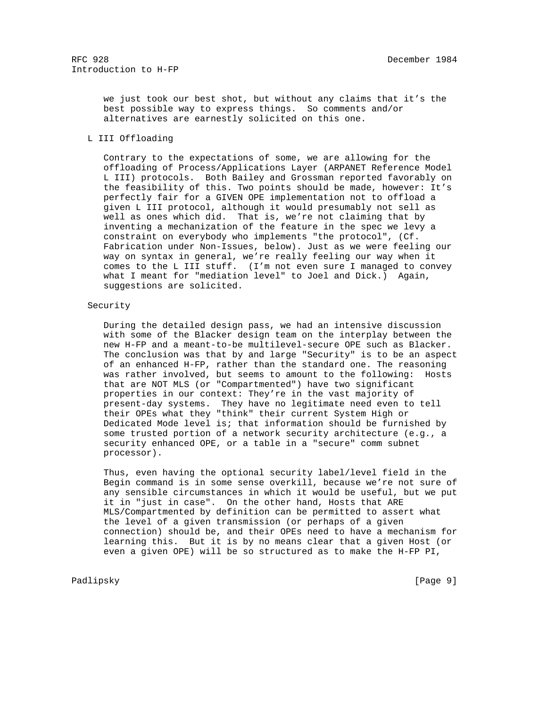we just took our best shot, but without any claims that it's the best possible way to express things. So comments and/or alternatives are earnestly solicited on this one.

# L III Offloading

 Contrary to the expectations of some, we are allowing for the offloading of Process/Applications Layer (ARPANET Reference Model L III) protocols. Both Bailey and Grossman reported favorably on the feasibility of this. Two points should be made, however: It's perfectly fair for a GIVEN OPE implementation not to offload a given L III protocol, although it would presumably not sell as well as ones which did. That is, we're not claiming that by inventing a mechanization of the feature in the spec we levy a constraint on everybody who implements "the protocol", (Cf. Fabrication under Non-Issues, below). Just as we were feeling our way on syntax in general, we're really feeling our way when it comes to the L III stuff. (I'm not even sure I managed to convey what I meant for "mediation level" to Joel and Dick.) Again, suggestions are solicited.

## Security

 During the detailed design pass, we had an intensive discussion with some of the Blacker design team on the interplay between the new H-FP and a meant-to-be multilevel-secure OPE such as Blacker. The conclusion was that by and large "Security" is to be an aspect of an enhanced H-FP, rather than the standard one. The reasoning was rather involved, but seems to amount to the following: Hosts that are NOT MLS (or "Compartmented") have two significant properties in our context: They're in the vast majority of present-day systems. They have no legitimate need even to tell their OPEs what they "think" their current System High or Dedicated Mode level is; that information should be furnished by some trusted portion of a network security architecture (e.g., a security enhanced OPE, or a table in a "secure" comm subnet processor).

 Thus, even having the optional security label/level field in the Begin command is in some sense overkill, because we're not sure of any sensible circumstances in which it would be useful, but we put it in "just in case". On the other hand, Hosts that ARE MLS/Compartmented by definition can be permitted to assert what the level of a given transmission (or perhaps of a given connection) should be, and their OPEs need to have a mechanism for learning this. But it is by no means clear that a given Host (or even a given OPE) will be so structured as to make the H-FP PI,

## Padlipsky [Page 9]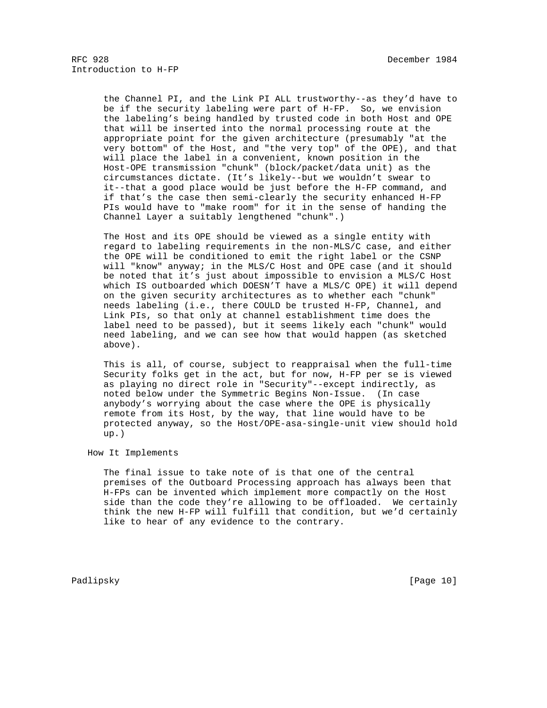the Channel PI, and the Link PI ALL trustworthy--as they'd have to be if the security labeling were part of H-FP. So, we envision the labeling's being handled by trusted code in both Host and OPE that will be inserted into the normal processing route at the appropriate point for the given architecture (presumably "at the very bottom" of the Host, and "the very top" of the OPE), and that will place the label in a convenient, known position in the Host-OPE transmission "chunk" (block/packet/data unit) as the circumstances dictate. (It's likely--but we wouldn't swear to it--that a good place would be just before the H-FP command, and if that's the case then semi-clearly the security enhanced H-FP PIs would have to "make room" for it in the sense of handing the Channel Layer a suitably lengthened "chunk".)

 The Host and its OPE should be viewed as a single entity with regard to labeling requirements in the non-MLS/C case, and either the OPE will be conditioned to emit the right label or the CSNP will "know" anyway; in the MLS/C Host and OPE case (and it should be noted that it's just about impossible to envision a MLS/C Host which IS outboarded which DOESN'T have a MLS/C OPE) it will depend on the given security architectures as to whether each "chunk" needs labeling (i.e., there COULD be trusted H-FP, Channel, and Link PIs, so that only at channel establishment time does the label need to be passed), but it seems likely each "chunk" would need labeling, and we can see how that would happen (as sketched above).

 This is all, of course, subject to reappraisal when the full-time Security folks get in the act, but for now, H-FP per se is viewed as playing no direct role in "Security"--except indirectly, as noted below under the Symmetric Begins Non-Issue. (In case anybody's worrying about the case where the OPE is physically remote from its Host, by the way, that line would have to be protected anyway, so the Host/OPE-asa-single-unit view should hold up.)

How It Implements

 The final issue to take note of is that one of the central premises of the Outboard Processing approach has always been that H-FPs can be invented which implement more compactly on the Host side than the code they're allowing to be offloaded. We certainly think the new H-FP will fulfill that condition, but we'd certainly like to hear of any evidence to the contrary.

Padlipsky [Page 10]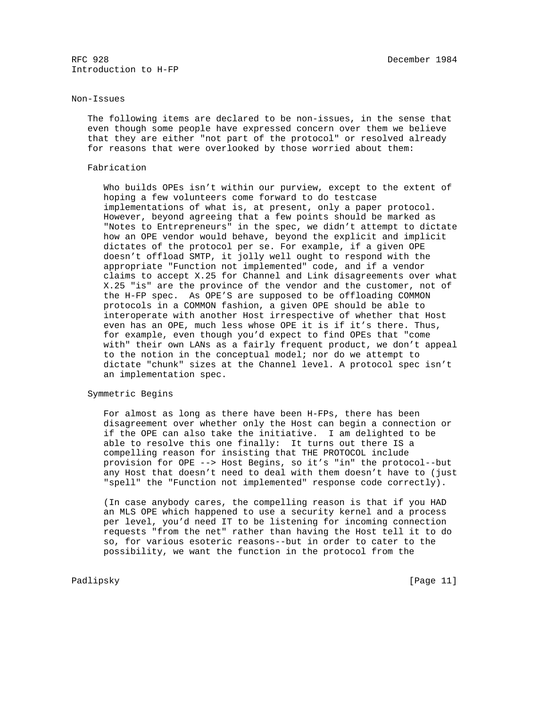### Non-Issues

 The following items are declared to be non-issues, in the sense that even though some people have expressed concern over them we believe that they are either "not part of the protocol" or resolved already for reasons that were overlooked by those worried about them:

#### Fabrication

 Who builds OPEs isn't within our purview, except to the extent of hoping a few volunteers come forward to do testcase implementations of what is, at present, only a paper protocol. However, beyond agreeing that a few points should be marked as "Notes to Entrepreneurs" in the spec, we didn't attempt to dictate how an OPE vendor would behave, beyond the explicit and implicit dictates of the protocol per se. For example, if a given OPE doesn't offload SMTP, it jolly well ought to respond with the appropriate "Function not implemented" code, and if a vendor claims to accept X.25 for Channel and Link disagreements over what X.25 "is" are the province of the vendor and the customer, not of the H-FP spec. As OPE'S are supposed to be offloading COMMON protocols in a COMMON fashion, a given OPE should be able to interoperate with another Host irrespective of whether that Host even has an OPE, much less whose OPE it is if it's there. Thus, for example, even though you'd expect to find OPEs that "come with" their own LANs as a fairly frequent product, we don't appeal to the notion in the conceptual model; nor do we attempt to dictate "chunk" sizes at the Channel level. A protocol spec isn't an implementation spec.

# Symmetric Begins

 For almost as long as there have been H-FPs, there has been disagreement over whether only the Host can begin a connection or if the OPE can also take the initiative. I am delighted to be able to resolve this one finally: It turns out there IS a compelling reason for insisting that THE PROTOCOL include provision for OPE --> Host Begins, so it's "in" the protocol--but any Host that doesn't need to deal with them doesn't have to (just "spell" the "Function not implemented" response code correctly).

 (In case anybody cares, the compelling reason is that if you HAD an MLS OPE which happened to use a security kernel and a process per level, you'd need IT to be listening for incoming connection requests "from the net" rather than having the Host tell it to do so, for various esoteric reasons--but in order to cater to the possibility, we want the function in the protocol from the

Padlipsky [Page 11]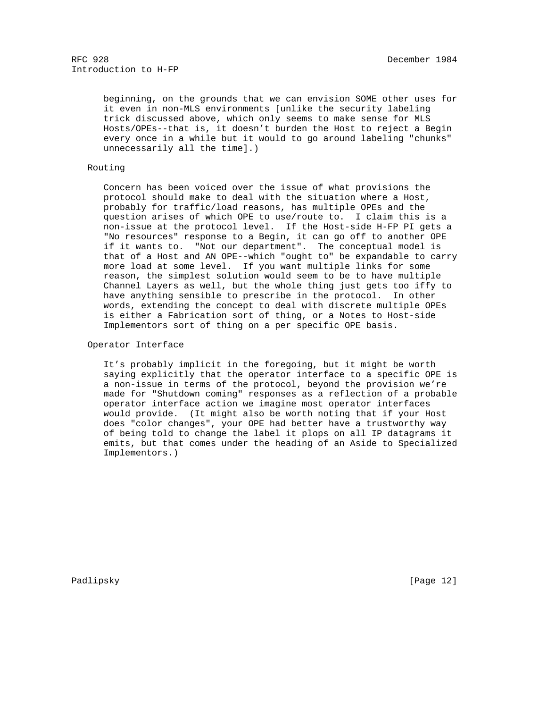beginning, on the grounds that we can envision SOME other uses for it even in non-MLS environments [unlike the security labeling trick discussed above, which only seems to make sense for MLS Hosts/OPEs--that is, it doesn't burden the Host to reject a Begin every once in a while but it would to go around labeling "chunks" unnecessarily all the time].)

# Routing

 Concern has been voiced over the issue of what provisions the protocol should make to deal with the situation where a Host, probably for traffic/load reasons, has multiple OPEs and the question arises of which OPE to use/route to. I claim this is a non-issue at the protocol level. If the Host-side H-FP PI gets a "No resources" response to a Begin, it can go off to another OPE if it wants to. "Not our department". The conceptual model is that of a Host and AN OPE--which "ought to" be expandable to carry more load at some level. If you want multiple links for some reason, the simplest solution would seem to be to have multiple Channel Layers as well, but the whole thing just gets too iffy to have anything sensible to prescribe in the protocol. In other words, extending the concept to deal with discrete multiple OPEs is either a Fabrication sort of thing, or a Notes to Host-side Implementors sort of thing on a per specific OPE basis.

## Operator Interface

 It's probably implicit in the foregoing, but it might be worth saying explicitly that the operator interface to a specific OPE is a non-issue in terms of the protocol, beyond the provision we're made for "Shutdown coming" responses as a reflection of a probable operator interface action we imagine most operator interfaces would provide. (It might also be worth noting that if your Host does "color changes", your OPE had better have a trustworthy way of being told to change the label it plops on all IP datagrams it emits, but that comes under the heading of an Aside to Specialized Implementors.)

Padlipsky [Page 12]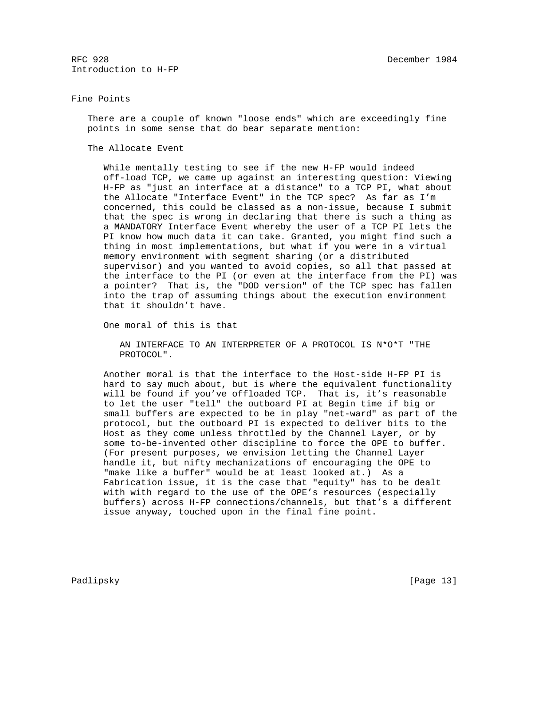### Fine Points

 There are a couple of known "loose ends" which are exceedingly fine points in some sense that do bear separate mention:

The Allocate Event

 While mentally testing to see if the new H-FP would indeed off-load TCP, we came up against an interesting question: Viewing H-FP as "just an interface at a distance" to a TCP PI, what about the Allocate "Interface Event" in the TCP spec? As far as I'm concerned, this could be classed as a non-issue, because I submit that the spec is wrong in declaring that there is such a thing as a MANDATORY Interface Event whereby the user of a TCP PI lets the PI know how much data it can take. Granted, you might find such a thing in most implementations, but what if you were in a virtual memory environment with segment sharing (or a distributed supervisor) and you wanted to avoid copies, so all that passed at the interface to the PI (or even at the interface from the PI) was a pointer? That is, the "DOD version" of the TCP spec has fallen into the trap of assuming things about the execution environment that it shouldn't have.

One moral of this is that

 AN INTERFACE TO AN INTERPRETER OF A PROTOCOL IS N\*O\*T "THE PROTOCOL".

 Another moral is that the interface to the Host-side H-FP PI is hard to say much about, but is where the equivalent functionality will be found if you've offloaded TCP. That is, it's reasonable to let the user "tell" the outboard PI at Begin time if big or small buffers are expected to be in play "net-ward" as part of the protocol, but the outboard PI is expected to deliver bits to the Host as they come unless throttled by the Channel Layer, or by some to-be-invented other discipline to force the OPE to buffer. (For present purposes, we envision letting the Channel Layer handle it, but nifty mechanizations of encouraging the OPE to "make like a buffer" would be at least looked at.) As a Fabrication issue, it is the case that "equity" has to be dealt with with regard to the use of the OPE's resources (especially buffers) across H-FP connections/channels, but that's a different issue anyway, touched upon in the final fine point.

Padlipsky [Page 13]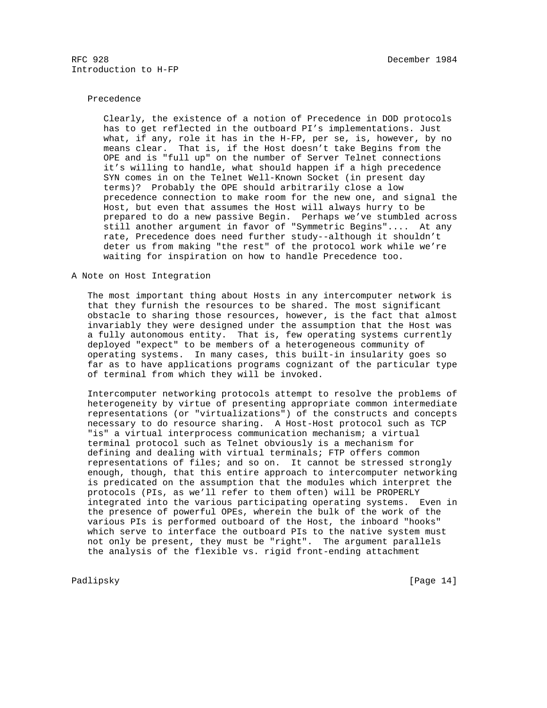## Precedence

 Clearly, the existence of a notion of Precedence in DOD protocols has to get reflected in the outboard PI's implementations. Just what, if any, role it has in the H-FP, per se, is, however, by no means clear. That is, if the Host doesn't take Begins from the OPE and is "full up" on the number of Server Telnet connections it's willing to handle, what should happen if a high precedence SYN comes in on the Telnet Well-Known Socket (in present day terms)? Probably the OPE should arbitrarily close a low precedence connection to make room for the new one, and signal the Host, but even that assumes the Host will always hurry to be prepared to do a new passive Begin. Perhaps we've stumbled across still another argument in favor of "Symmetric Begins".... At any rate, Precedence does need further study--although it shouldn't deter us from making "the rest" of the protocol work while we're waiting for inspiration on how to handle Precedence too.

# A Note on Host Integration

 The most important thing about Hosts in any intercomputer network is that they furnish the resources to be shared. The most significant obstacle to sharing those resources, however, is the fact that almost invariably they were designed under the assumption that the Host was a fully autonomous entity. That is, few operating systems currently deployed "expect" to be members of a heterogeneous community of operating systems. In many cases, this built-in insularity goes so far as to have applications programs cognizant of the particular type of terminal from which they will be invoked.

 Intercomputer networking protocols attempt to resolve the problems of heterogeneity by virtue of presenting appropriate common intermediate representations (or "virtualizations") of the constructs and concepts necessary to do resource sharing. A Host-Host protocol such as TCP "is" a virtual interprocess communication mechanism; a virtual terminal protocol such as Telnet obviously is a mechanism for defining and dealing with virtual terminals; FTP offers common representations of files; and so on. It cannot be stressed strongly enough, though, that this entire approach to intercomputer networking is predicated on the assumption that the modules which interpret the protocols (PIs, as we'll refer to them often) will be PROPERLY integrated into the various participating operating systems. Even in the presence of powerful OPEs, wherein the bulk of the work of the various PIs is performed outboard of the Host, the inboard "hooks" which serve to interface the outboard PIs to the native system must not only be present, they must be "right". The argument parallels the analysis of the flexible vs. rigid front-ending attachment

Padlipsky [Page 14]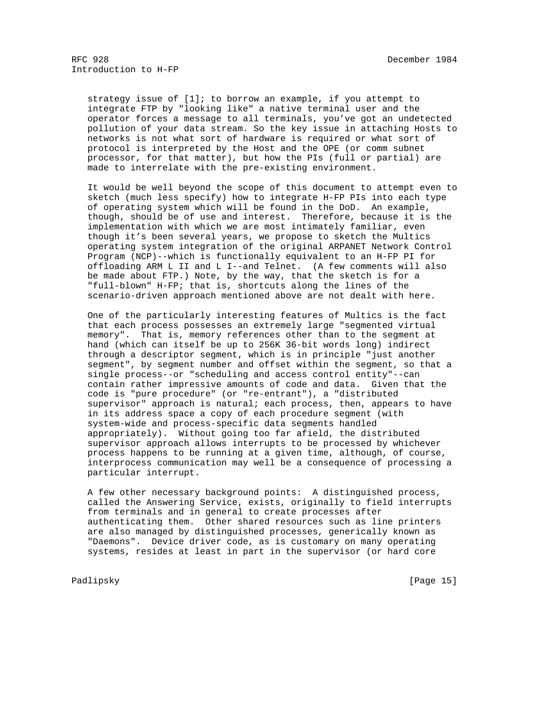strategy issue of [1]; to borrow an example, if you attempt to integrate FTP by "looking like" a native terminal user and the operator forces a message to all terminals, you've got an undetected pollution of your data stream. So the key issue in attaching Hosts to networks is not what sort of hardware is required or what sort of protocol is interpreted by the Host and the OPE (or comm subnet processor, for that matter), but how the PIs (full or partial) are made to interrelate with the pre-existing environment.

 It would be well beyond the scope of this document to attempt even to sketch (much less specify) how to integrate H-FP PIs into each type of operating system which will be found in the DoD. An example, though, should be of use and interest. Therefore, because it is the implementation with which we are most intimately familiar, even though it's been several years, we propose to sketch the Multics operating system integration of the original ARPANET Network Control Program (NCP)--which is functionally equivalent to an H-FP PI for offloading ARM L II and L I--and Telnet. (A few comments will also be made about FTP.) Note, by the way, that the sketch is for a "full-blown" H-FP; that is, shortcuts along the lines of the scenario-driven approach mentioned above are not dealt with here.

 One of the particularly interesting features of Multics is the fact that each process possesses an extremely large "segmented virtual memory". That is, memory references other than to the segment at hand (which can itself be up to 256K 36-bit words long) indirect through a descriptor segment, which is in principle "just another segment", by segment number and offset within the segment, so that a single process--or "scheduling and access control entity"--can contain rather impressive amounts of code and data. Given that the code is "pure procedure" (or "re-entrant"), a "distributed supervisor" approach is natural; each process, then, appears to have in its address space a copy of each procedure segment (with system-wide and process-specific data segments handled appropriately). Without going too far afield, the distributed supervisor approach allows interrupts to be processed by whichever process happens to be running at a given time, although, of course, interprocess communication may well be a consequence of processing a particular interrupt.

 A few other necessary background points: A distinguished process, called the Answering Service, exists, originally to field interrupts from terminals and in general to create processes after authenticating them. Other shared resources such as line printers are also managed by distinguished processes, generically known as "Daemons". Device driver code, as is customary on many operating systems, resides at least in part in the supervisor (or hard core

Padlipsky [Page 15]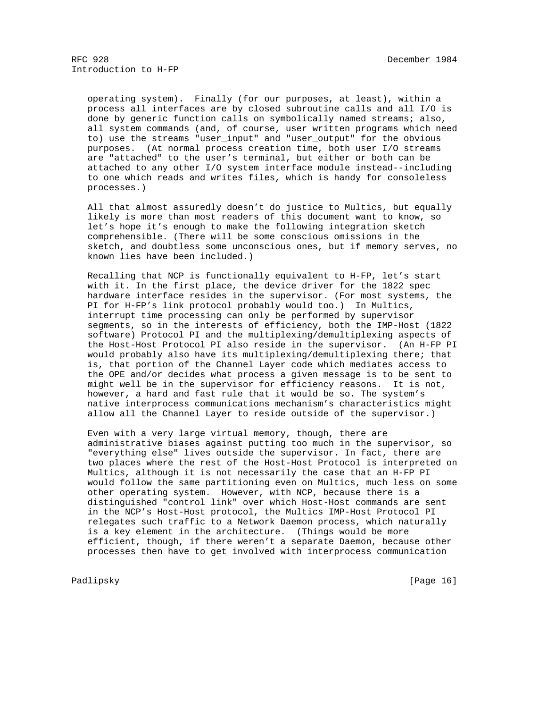operating system). Finally (for our purposes, at least), within a process all interfaces are by closed subroutine calls and all I/O is done by generic function calls on symbolically named streams; also, all system commands (and, of course, user written programs which need to) use the streams "user\_input" and "user\_output" for the obvious purposes. (At normal process creation time, both user I/O streams are "attached" to the user's terminal, but either or both can be attached to any other I/O system interface module instead--including to one which reads and writes files, which is handy for consoleless processes.)

 All that almost assuredly doesn't do justice to Multics, but equally likely is more than most readers of this document want to know, so let's hope it's enough to make the following integration sketch comprehensible. (There will be some conscious omissions in the sketch, and doubtless some unconscious ones, but if memory serves, no known lies have been included.)

 Recalling that NCP is functionally equivalent to H-FP, let's start with it. In the first place, the device driver for the 1822 spec hardware interface resides in the supervisor. (For most systems, the PI for H-FP's link protocol probably would too.) In Multics, interrupt time processing can only be performed by supervisor segments, so in the interests of efficiency, both the IMP-Host (1822 software) Protocol PI and the multiplexing/demultiplexing aspects of the Host-Host Protocol PI also reside in the supervisor. (An H-FP PI would probably also have its multiplexing/demultiplexing there; that is, that portion of the Channel Layer code which mediates access to the OPE and/or decides what process a given message is to be sent to might well be in the supervisor for efficiency reasons. It is not, however, a hard and fast rule that it would be so. The system's native interprocess communications mechanism's characteristics might allow all the Channel Layer to reside outside of the supervisor.)

 Even with a very large virtual memory, though, there are administrative biases against putting too much in the supervisor, so "everything else" lives outside the supervisor. In fact, there are two places where the rest of the Host-Host Protocol is interpreted on Multics, although it is not necessarily the case that an H-FP PI would follow the same partitioning even on Multics, much less on some other operating system. However, with NCP, because there is a distinguished "control link" over which Host-Host commands are sent in the NCP's Host-Host protocol, the Multics IMP-Host Protocol PI relegates such traffic to a Network Daemon process, which naturally is a key element in the architecture. (Things would be more efficient, though, if there weren't a separate Daemon, because other processes then have to get involved with interprocess communication

Padlipsky [Page 16]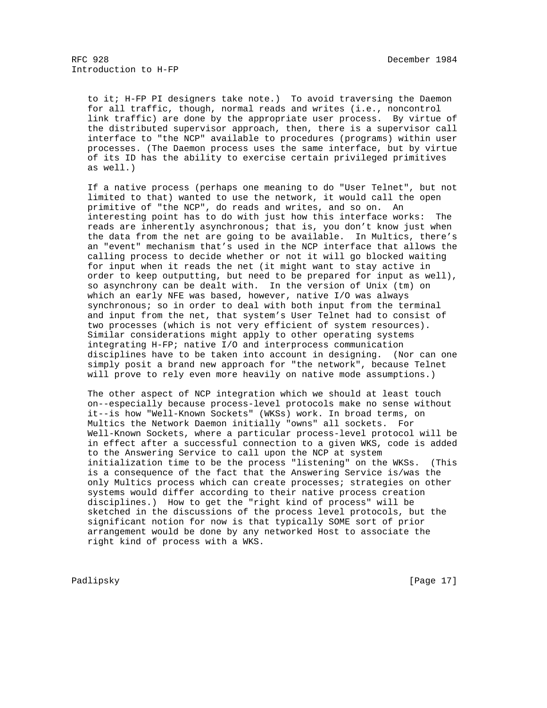to it; H-FP PI designers take note.) To avoid traversing the Daemon for all traffic, though, normal reads and writes (i.e., noncontrol link traffic) are done by the appropriate user process. By virtue of the distributed supervisor approach, then, there is a supervisor call interface to "the NCP" available to procedures (programs) within user processes. (The Daemon process uses the same interface, but by virtue of its ID has the ability to exercise certain privileged primitives as well.)

 If a native process (perhaps one meaning to do "User Telnet", but not limited to that) wanted to use the network, it would call the open primitive of "the NCP", do reads and writes, and so on. An interesting point has to do with just how this interface works: The reads are inherently asynchronous; that is, you don't know just when the data from the net are going to be available. In Multics, there's an "event" mechanism that's used in the NCP interface that allows the calling process to decide whether or not it will go blocked waiting for input when it reads the net (it might want to stay active in order to keep outputting, but need to be prepared for input as well), so asynchrony can be dealt with. In the version of Unix (tm) on which an early NFE was based, however, native I/O was always synchronous; so in order to deal with both input from the terminal and input from the net, that system's User Telnet had to consist of two processes (which is not very efficient of system resources). Similar considerations might apply to other operating systems integrating H-FP; native I/O and interprocess communication disciplines have to be taken into account in designing. (Nor can one simply posit a brand new approach for "the network", because Telnet will prove to rely even more heavily on native mode assumptions.)

 The other aspect of NCP integration which we should at least touch on--especially because process-level protocols make no sense without it--is how "Well-Known Sockets" (WKSs) work. In broad terms, on Multics the Network Daemon initially "owns" all sockets. For Well-Known Sockets, where a particular process-level protocol will be in effect after a successful connection to a given WKS, code is added to the Answering Service to call upon the NCP at system initialization time to be the process "listening" on the WKSs. (This is a consequence of the fact that the Answering Service is/was the only Multics process which can create processes; strategies on other systems would differ according to their native process creation disciplines.) How to get the "right kind of process" will be sketched in the discussions of the process level protocols, but the significant notion for now is that typically SOME sort of prior arrangement would be done by any networked Host to associate the right kind of process with a WKS.

Padlipsky [Page 17]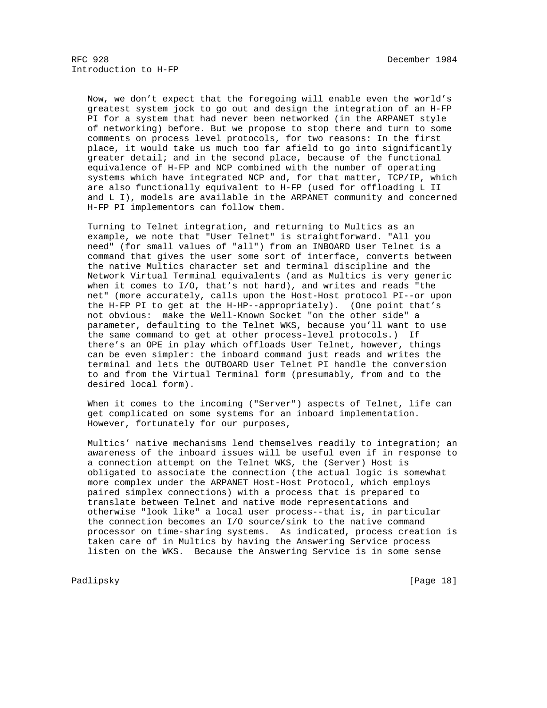Now, we don't expect that the foregoing will enable even the world's greatest system jock to go out and design the integration of an H-FP PI for a system that had never been networked (in the ARPANET style of networking) before. But we propose to stop there and turn to some comments on process level protocols, for two reasons: In the first place, it would take us much too far afield to go into significantly greater detail; and in the second place, because of the functional equivalence of H-FP and NCP combined with the number of operating systems which have integrated NCP and, for that matter, TCP/IP, which are also functionally equivalent to H-FP (used for offloading L II and L I), models are available in the ARPANET community and concerned H-FP PI implementors can follow them.

 Turning to Telnet integration, and returning to Multics as an example, we note that "User Telnet" is straightforward. "All you need" (for small values of "all") from an INBOARD User Telnet is a command that gives the user some sort of interface, converts between the native Multics character set and terminal discipline and the Network Virtual Terminal equivalents (and as Multics is very generic when it comes to I/O, that's not hard), and writes and reads "the net" (more accurately, calls upon the Host-Host protocol PI--or upon the H-FP PI to get at the H-HP--appropriately). (One point that's not obvious: make the Well-Known Socket "on the other side" a parameter, defaulting to the Telnet WKS, because you'll want to use the same command to get at other process-level protocols.) If there's an OPE in play which offloads User Telnet, however, things can be even simpler: the inboard command just reads and writes the terminal and lets the OUTBOARD User Telnet PI handle the conversion to and from the Virtual Terminal form (presumably, from and to the desired local form).

 When it comes to the incoming ("Server") aspects of Telnet, life can get complicated on some systems for an inboard implementation. However, fortunately for our purposes,

 Multics' native mechanisms lend themselves readily to integration; an awareness of the inboard issues will be useful even if in response to a connection attempt on the Telnet WKS, the (Server) Host is obligated to associate the connection (the actual logic is somewhat more complex under the ARPANET Host-Host Protocol, which employs paired simplex connections) with a process that is prepared to translate between Telnet and native mode representations and otherwise "look like" a local user process--that is, in particular the connection becomes an I/O source/sink to the native command processor on time-sharing systems. As indicated, process creation is taken care of in Multics by having the Answering Service process listen on the WKS. Because the Answering Service is in some sense

Padlipsky [Page 18]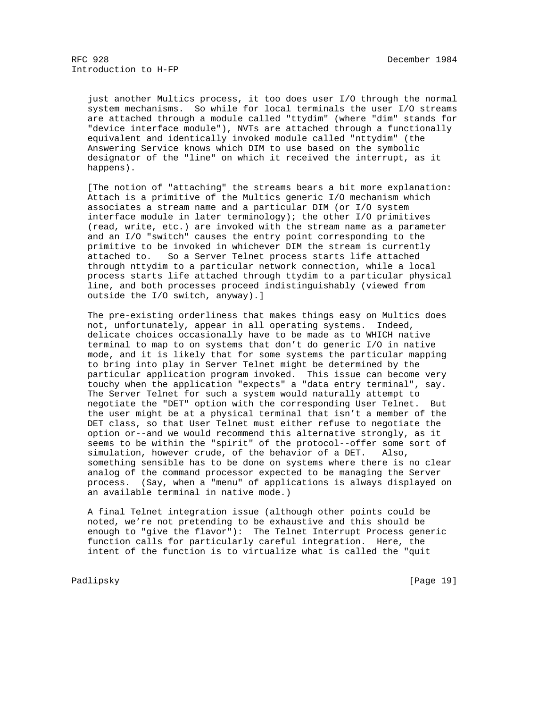just another Multics process, it too does user I/O through the normal system mechanisms. So while for local terminals the user I/O streams are attached through a module called "ttydim" (where "dim" stands for "device interface module"), NVTs are attached through a functionally equivalent and identically invoked module called "nttydim" (the Answering Service knows which DIM to use based on the symbolic designator of the "line" on which it received the interrupt, as it happens).

 [The notion of "attaching" the streams bears a bit more explanation: Attach is a primitive of the Multics generic I/O mechanism which associates a stream name and a particular DIM (or I/O system interface module in later terminology); the other I/O primitives (read, write, etc.) are invoked with the stream name as a parameter and an I/O "switch" causes the entry point corresponding to the primitive to be invoked in whichever DIM the stream is currently attached to. So a Server Telnet process starts life attached through nttydim to a particular network connection, while a local process starts life attached through ttydim to a particular physical line, and both processes proceed indistinguishably (viewed from outside the I/O switch, anyway).]

 The pre-existing orderliness that makes things easy on Multics does not, unfortunately, appear in all operating systems. Indeed, delicate choices occasionally have to be made as to WHICH native terminal to map to on systems that don't do generic I/O in native mode, and it is likely that for some systems the particular mapping to bring into play in Server Telnet might be determined by the particular application program invoked. This issue can become very touchy when the application "expects" a "data entry terminal", say. The Server Telnet for such a system would naturally attempt to negotiate the "DET" option with the corresponding User Telnet. But the user might be at a physical terminal that isn't a member of the DET class, so that User Telnet must either refuse to negotiate the option or--and we would recommend this alternative strongly, as it seems to be within the "spirit" of the protocol--offer some sort of simulation, however crude, of the behavior of a DET. Also, something sensible has to be done on systems where there is no clear analog of the command processor expected to be managing the Server process. (Say, when a "menu" of applications is always displayed on an available terminal in native mode.)

 A final Telnet integration issue (although other points could be noted, we're not pretending to be exhaustive and this should be enough to "give the flavor"): The Telnet Interrupt Process generic function calls for particularly careful integration. Here, the intent of the function is to virtualize what is called the "quit

Padlipsky [Page 19]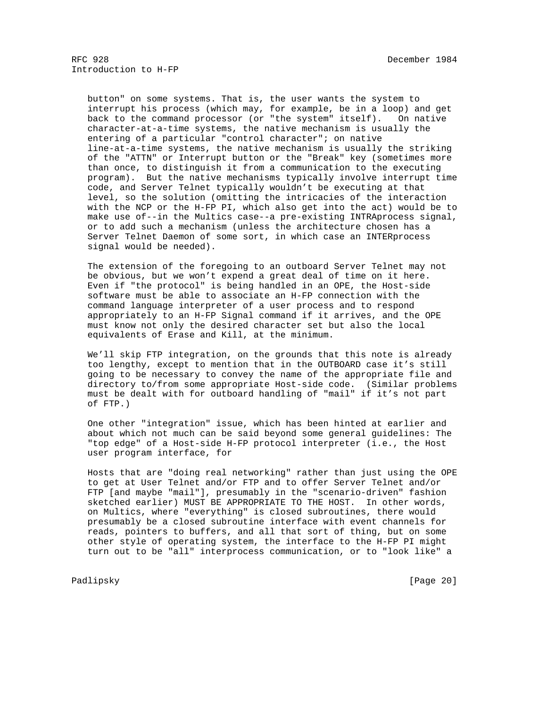button" on some systems. That is, the user wants the system to interrupt his process (which may, for example, be in a loop) and get back to the command processor (or "the system" itself). On native character-at-a-time systems, the native mechanism is usually the entering of a particular "control character"; on native line-at-a-time systems, the native mechanism is usually the striking of the "ATTN" or Interrupt button or the "Break" key (sometimes more than once, to distinguish it from a communication to the executing program). But the native mechanisms typically involve interrupt time code, and Server Telnet typically wouldn't be executing at that level, so the solution (omitting the intricacies of the interaction with the NCP or the H-FP PI, which also get into the act) would be to make use of--in the Multics case--a pre-existing INTRAprocess signal, or to add such a mechanism (unless the architecture chosen has a Server Telnet Daemon of some sort, in which case an INTERprocess signal would be needed).

 The extension of the foregoing to an outboard Server Telnet may not be obvious, but we won't expend a great deal of time on it here. Even if "the protocol" is being handled in an OPE, the Host-side software must be able to associate an H-FP connection with the command language interpreter of a user process and to respond appropriately to an H-FP Signal command if it arrives, and the OPE must know not only the desired character set but also the local equivalents of Erase and Kill, at the minimum.

 We'll skip FTP integration, on the grounds that this note is already too lengthy, except to mention that in the OUTBOARD case it's still going to be necessary to convey the name of the appropriate file and directory to/from some appropriate Host-side code. (Similar problems must be dealt with for outboard handling of "mail" if it's not part of FTP.)

 One other "integration" issue, which has been hinted at earlier and about which not much can be said beyond some general guidelines: The "top edge" of a Host-side H-FP protocol interpreter (i.e., the Host user program interface, for

 Hosts that are "doing real networking" rather than just using the OPE to get at User Telnet and/or FTP and to offer Server Telnet and/or FTP [and maybe "mail"], presumably in the "scenario-driven" fashion sketched earlier) MUST BE APPROPRIATE TO THE HOST. In other words, on Multics, where "everything" is closed subroutines, there would presumably be a closed subroutine interface with event channels for reads, pointers to buffers, and all that sort of thing, but on some other style of operating system, the interface to the H-FP PI might turn out to be "all" interprocess communication, or to "look like" a

Padlipsky [Page 20]